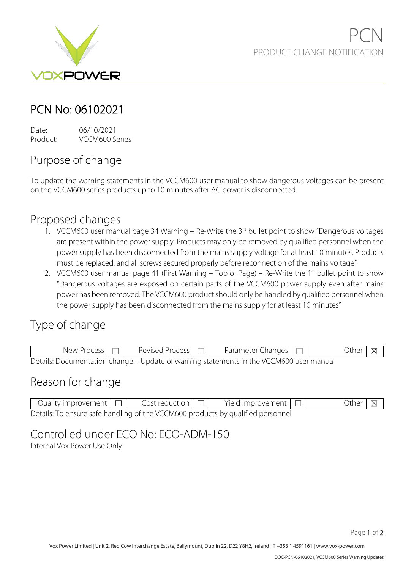

## PCN No: 06102021

Date: 06/10/2021 Product: VCCM600 Series

# Purpose of change

To update the warning statements in the VCCM600 user manual to show dangerous voltages can be present on the VCCM600 series products up to 10 minutes after AC power is disconnected

#### Proposed changes

- 1. VCCM600 user manual page 34 Warning Re-Write the 3<sup>rd</sup> bullet point to show "Dangerous voltages are present within the power supply. Products may only be removed by qualified personnel when the power supply has been disconnected from the mains supply voltage for at least 10 minutes. Products must be replaced, and all screws secured properly before reconnection of the mains voltage"
- 2. VCCM600 user manual page 41 (First Warning Top of Page) Re-Write the 1<sup>st</sup> bullet point to show "Dangerous voltages are exposed on certain parts of the VCCM600 power supply even after mains power has been removed. The VCCM600 product should only be handled by qualified personnel when the power supply has been disconnected from the mains supply for at least 10 minutes"

### Type of change

| y Process<br>NAW. | Process<br>Revised | Changes<br>Parameter C.                                                                 | )thei |  |
|-------------------|--------------------|-----------------------------------------------------------------------------------------|-------|--|
|                   |                    | Details: Documentation change – Update of warning statements in the VCCM600 user manual |       |  |

#### Reason for change

| Quality improvement $\Box$ | Cost reduction $\Box$ | Yield improvement $\Box$                                                        | Other $ \boxtimes $ |  |
|----------------------------|-----------------------|---------------------------------------------------------------------------------|---------------------|--|
|                            |                       | Details: To ensure safe handling of the VCCM600 products by qualified personnel |                     |  |

### Controlled under ECO No: ECO-ADM-150

Internal Vox Power Use Only